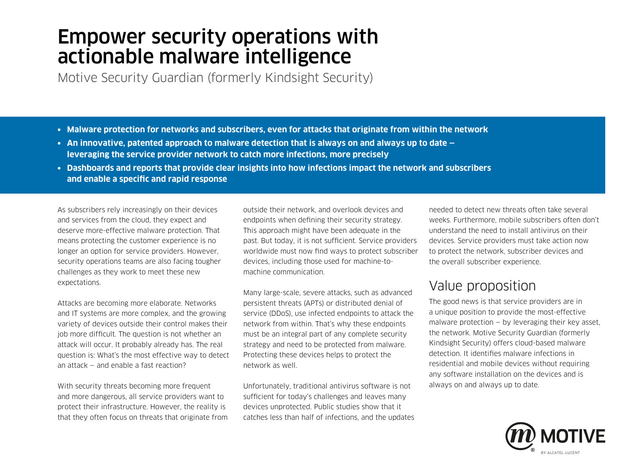# Empower security operations with actionable malware intelligence

Motive Security Guardian (formerly Kindsight Security)

- **• Malware protection for networks and subscribers, even for attacks that originate from within the network**
- **• An innovative, patented approach to malware detection that is always on and always up to date leveraging the service provider network to catch more infections, more precisely**
- **• Dashboards and reports that provide clear insights into how infections impact the network and subscribers and enable a specific and rapid response**

As subscribers rely increasingly on their devices and services from the cloud, they expect and deserve more-effective malware protection. That means protecting the customer experience is no longer an option for service providers. However, security operations teams are also facing tougher challenges as they work to meet these new expectations.

Attacks are becoming more elaborate. Networks and IT systems are more complex, and the growing variety of devices outside their control makes their job more difficult. The question is not whether an attack will occur. It probably already has. The real question is: What's the most effective way to detect an attack — and enable a fast reaction?

With security threats becoming more frequent and more dangerous, all service providers want to protect their infrastructure. However, the reality is that they often focus on threats that originate from outside their network, and overlook devices and endpoints when defining their security strategy. This approach might have been adequate in the past. But today, it is not sufficient. Service providers worldwide must now find ways to protect subscriber devices, including those used for machine-tomachine communication.

Many large-scale, severe attacks, such as advanced persistent threats (APTs) or distributed denial of service (DDoS), use infected endpoints to attack the network from within. That's why these endpoints must be an integral part of any complete security strategy and need to be protected from malware. Protecting these devices helps to protect the network as well.

Unfortunately, traditional antivirus software is not sufficient for today's challenges and leaves many devices unprotected. Public studies show that it catches less than half of infections, and the updates

needed to detect new threats often take several weeks. Furthermore, mobile subscribers often don't understand the need to install antivirus on their devices. Service providers must take action now to protect the network, subscriber devices and the overall subscriber experience.

# Value proposition

The good news is that service providers are in a unique position to provide the most-effective malware protection  $-$  by leveraging their key asset. the network. Motive Security Guardian (formerly Kindsight Security) offers cloud-based malware detection. It identifies malware infections in residential and mobile devices without requiring any software installation on the devices and is always on and always up to date.

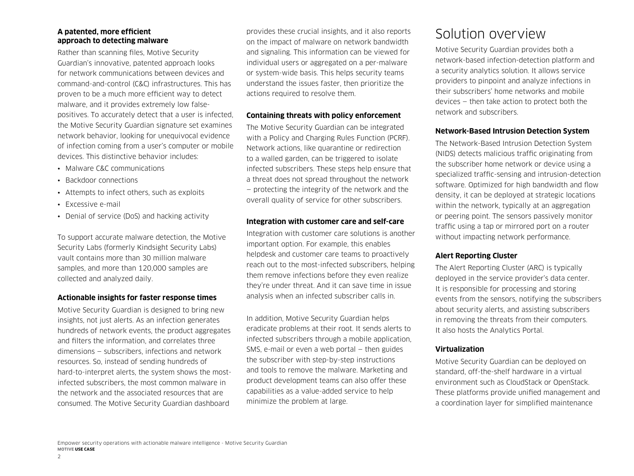#### **A patented, more efficient approach to detecting malware**

Rather than scanning files, Motive Security Guardian's innovative, patented approach looks for network communications between devices and command-and-control (C&C) infrastructures. This has proven to be a much more efficient way to detect malware, and it provides extremely low falsepositives. To accurately detect that a user is infected, the Motive Security Guardian signature set examines network behavior, looking for unequivocal evidence of infection coming from a user's computer or mobile devices. This distinctive behavior includes:

- Malware C&C communications
- Backdoor connections
- Attempts to infect others, such as exploits
- Excessive e-mail
- Denial of service (DoS) and hacking activity

To support accurate malware detection, the Motive Security Labs (formerly Kindsight Security Labs) vault contains more than 30 million malware samples, and more than 120,000 samples are collected and analyzed daily.

#### **Actionable insights for faster response times**

Motive Security Guardian is designed to bring new insights, not just alerts. As an infection generates hundreds of network events, the product aggregates and filters the information, and correlates three dimensions — subscribers, infections and network resources. So, instead of sending hundreds of hard-to-interpret alerts, the system shows the mostinfected subscribers, the most common malware in the network and the associated resources that are consumed. The Motive Security Guardian dashboard

provides these crucial insights, and it also reports on the impact of malware on network bandwidth and signaling. This information can be viewed for individual users or aggregated on a per-malware or system-wide basis. This helps security teams understand the issues faster, then prioritize the actions required to resolve them.

#### **Containing threats with policy enforcement**

The Motive Security Guardian can be integrated with a Policy and Charging Rules Function (PCRF). Network actions, like quarantine or redirection to a walled garden, can be triggered to isolate infected subscribers. These steps help ensure that a threat does not spread throughout the network — protecting the integrity of the network and the overall quality of service for other subscribers.

#### **Integration with customer care and self-care**

Integration with customer care solutions is another important option. For example, this enables helpdesk and customer care teams to proactively reach out to the most-infected subscribers, helping them remove infections before they even realize they're under threat. And it can save time in issue analysis when an infected subscriber calls in.

In addition, Motive Security Guardian helps eradicate problems at their root. It sends alerts to infected subscribers through a mobile application, SMS, e-mail or even a web portal — then guides the subscriber with step-by-step instructions and tools to remove the malware. Marketing and product development teams can also offer these capabilities as a value-added service to help minimize the problem at large.

### Solution overview

Motive Security Guardian provides both a network-based infection-detection platform and a security analytics solution. It allows service providers to pinpoint and analyze infections in their subscribers' home networks and mobile devices — then take action to protect both the network and subscribers.

#### **Network-Based Intrusion Detection System**

The Network-Based Intrusion Detection System (NIDS) detects malicious traffic originating from the subscriber home network or device using a specialized traffic-sensing and intrusion-detection software. Optimized for high bandwidth and flow density, it can be deployed at strategic locations within the network, typically at an aggregation or peering point. The sensors passively monitor traffic using a tap or mirrored port on a router without impacting network performance.

#### **Alert Reporting Cluster**

The Alert Reporting Cluster (ARC) is typically deployed in the service provider's data center. It is responsible for processing and storing events from the sensors, notifying the subscribers about security alerts, and assisting subscribers in removing the threats from their computers. It also hosts the Analytics Portal.

#### **Virtualization**

Motive Security Guardian can be deployed on standard, off-the-shelf hardware in a virtual environment such as CloudStack or OpenStack. These platforms provide unified management and a coordination layer for simplified maintenance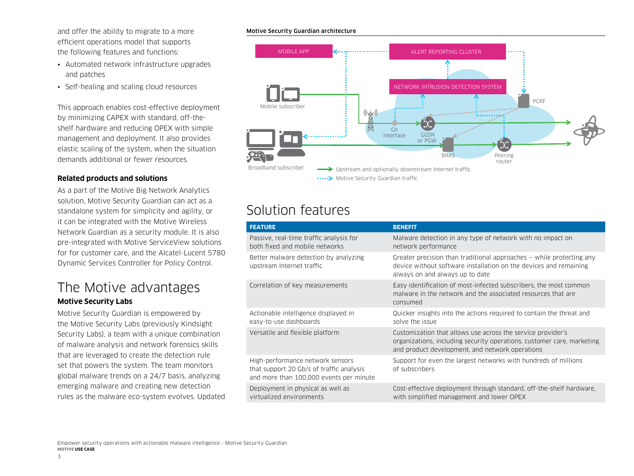and offer the ability to migrate to a more efficient operations model that supports the following features and functions:

- Automated network infrastructure upgrades and patches
- Self-healing and scaling cloud resources

This approach enables cost-effective deployment by minimizing CAPEX with standard, off-theshelf hardware and reducing OPEX with simple management and deployment. It also provides elastic scaling of the system, when the situation demands additional or fewer resources.

#### **Related products and solutions**

As a part of the Motive Big Network Analytics solution, Motive Security Guardian can act as a standalone system for simplicity and agility, or it can be integrated with the Motive Wireless Network Guardian as a security module. It is also pre-integrated with Motive ServiceView solutions for for customer care, and the Alcatel-Lucent 5780 Dynamic Services Controller for Policy Control.

### The Motive advantages **Motive Security Labs**

Motive Security Guardian is empowered by the Motive Security Labs (previously Kindsight Security Labs), a team with a unique combination of malware analysis and network forensics skills that are leveraged to create the detection rule set that powers the system. The team monitors global malware trends on a 24/7 basis, analyzing emerging malware and creating new detection rules as the malware eco-system evolves. Updated

#### Motive Security Guardian architecture



## Solution features

| <b>FEATURE</b>                                                                                                          | <b>BENEFIT</b>                                                                                                                                                                           |
|-------------------------------------------------------------------------------------------------------------------------|------------------------------------------------------------------------------------------------------------------------------------------------------------------------------------------|
| Passive, real-time traffic analysis for<br>both fixed and mobile networks                                               | Malware detection in any type of network with no impact on<br>network performance                                                                                                        |
| Better malware detection by analyzing<br>upstream Internet traffic                                                      | Greater precision than traditional approaches $-$ while protecting any<br>device without software installation on the devices and remaining<br>always on and always up to date           |
| Correlation of key measurements                                                                                         | Easy identification of most-infected subscribers, the most common<br>malware in the network and the associated resources that are<br>consumed                                            |
| Actionable intelligence displayed in<br>easy-to-use dashboards                                                          | Quicker insights into the actions required to contain the threat and<br>solve the issue                                                                                                  |
| Versatile and flexible platform                                                                                         | Customization that allows use across the service provider's<br>organizations, including security operations, customer care, marketing<br>and product development, and network operations |
| High-performance network sensors<br>that support 20 Gb/s of traffic analysis<br>and more than 100,000 events per minute | Support for even the largest networks with hundreds of millions<br>of subscribers                                                                                                        |
| Deployment in physical as well as<br>virtualized environments                                                           | Cost-effective deployment through standard, off-the-shelf hardware,<br>with simplified management and lower OPEX                                                                         |